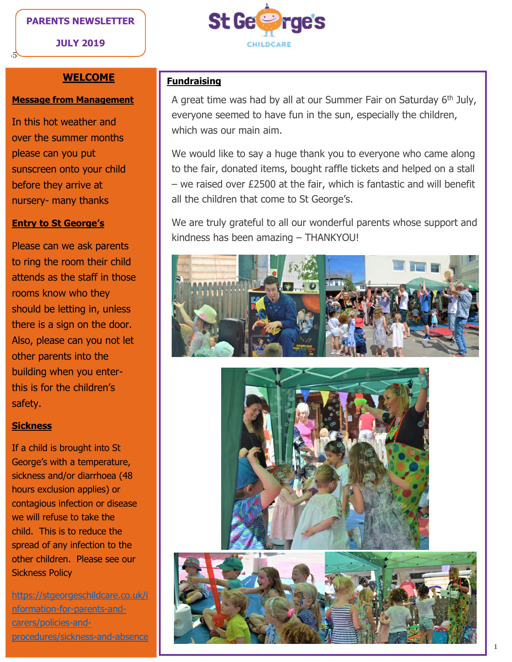## **PARENTS NEWSLETTER**

**JULY 2019**

.5



## **WELCOME**

#### **Message from Management**

In this hot weather and over the summer months please can you put sunscreen onto your child before they arrive at nursery- many thanks

## **Entry to St George's**

Please can we ask parents to ring the room their child attends as the staff in those rooms know who they should be letting in, unless there is a sign on the door. Also, please can you not let other parents into the building when you enterthis is for the children's safety.

### **Sickness**

If a child is brought into St George's with a temperature, sickness and/or diarrhoea (48 hours exclusion applies) or contagious infection or disease we will refuse to take the child. This is to reduce the spread of any infection to the other children. Please see our Sickness Policy

[https://stgeorgeschildcare.co.uk/i](https://stgeorgeschildcare.co.uk/information-for-parents-and-carers/policies-and-procedures/sickness-and-absence) [nformation-for-parents-and](https://stgeorgeschildcare.co.uk/information-for-parents-and-carers/policies-and-procedures/sickness-and-absence)[carers/policies-and](https://stgeorgeschildcare.co.uk/information-for-parents-and-carers/policies-and-procedures/sickness-and-absence)[procedures/sickness-and-absence](https://stgeorgeschildcare.co.uk/information-for-parents-and-carers/policies-and-procedures/sickness-and-absence)

## **Fundraising**

A great time was had by all at our Summer Fair on Saturday 6<sup>th</sup> July, everyone seemed to have fun in the sun, especially the children, which was our main aim.

We would like to say a huge thank you to everyone who came along to the fair, donated items, bought raffle tickets and helped on a stall – we raised over £2500 at the fair, which is fantastic and will benefit all the children that come to St George's.

We are truly grateful to all our wonderful parents whose support and kindness has been amazing – THANKYOU!

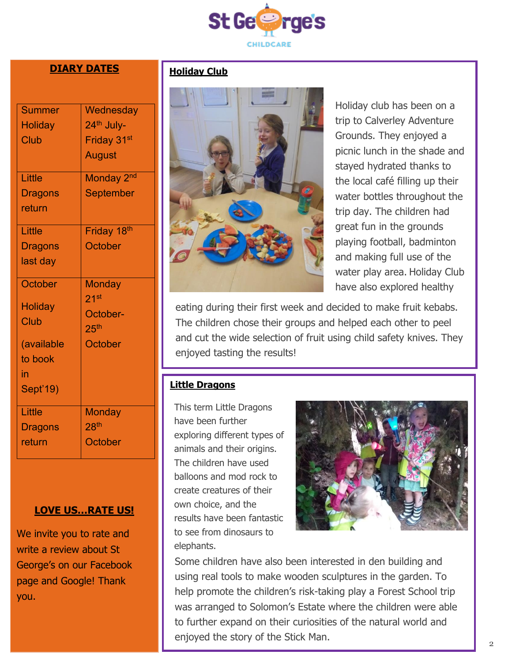

# **DIARY DATES**

| <b>Summer</b>                 | Wednesday               |
|-------------------------------|-------------------------|
| Holiday                       | 24 <sup>th</sup> July-  |
| Club                          | Friday 31 <sup>st</sup> |
|                               | <b>August</b>           |
| Little                        | Monday 2 <sup>nd</sup>  |
| <b>Dragons</b>                | September               |
| return                        |                         |
| Little                        | Friday 18 <sup>th</sup> |
| <b>Dragons</b>                | October                 |
| last day                      |                         |
| <b>October</b>                | <b>Monday</b>           |
|                               | 21 <sup>st</sup>        |
| <b>Holiday</b><br><b>Club</b> | October-                |
|                               | 25 <sup>th</sup>        |
| (available                    | October                 |
| to book                       |                         |
| in                            |                         |
| Sept'19)                      |                         |
| Little                        | <b>Monday</b>           |
| <b>Dragons</b>                | 28 <sup>th</sup>        |
| return                        | October                 |
|                               |                         |

## **LOVE US…RATE US!**

We invite you to rate and write a review about St George's on our Facebook page and Google! Thank you.

## **Holiday Club**



Holiday club has been on a trip to Calverley Adventure Grounds. They enjoyed a picnic lunch in the shade and stayed hydrated thanks to the local café filling up their water bottles throughout the trip day. The children had great fun in the grounds playing football, badminton and making full use of the water play area. Holiday Club have also explored healthy

eating during their first week and decided to make fruit kebabs. The children chose their groups and helped each other to peel and cut the wide selection of fruit using child safety knives. They enjoyed tasting the results!

## **Little Dragons**

This term Little Dragons have been further exploring different types of animals and their origins. The children have used balloons and mod rock to create creatures of their own choice, and the results have been fantastic to see from dinosaurs to elephants.



Some children have also been interested in den building and using real tools to make wooden sculptures in the garden. To help promote the children's risk-taking play a Forest School trip was arranged to Solomon's Estate where the children were able to further expand on their curiosities of the natural world and enjoyed the story of the Stick Man.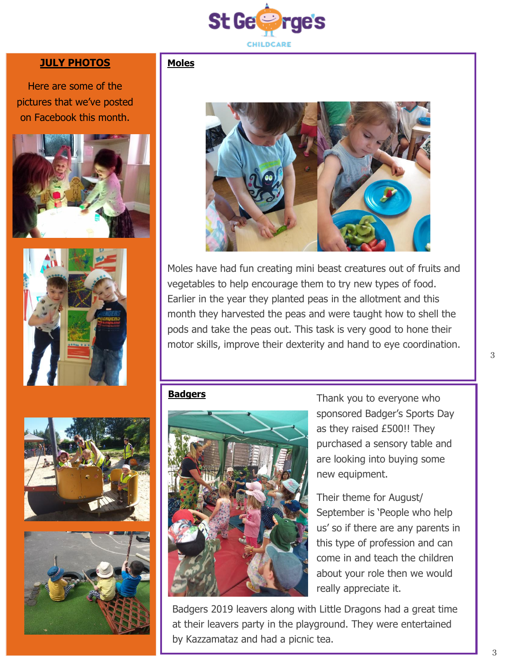

## **JULY PHOTOS**

Here are some of the pictures that we've posted on Facebook this month.







Moles have had fun creating mini beast creatures out of fruits and vegetables to help encourage them to try new types of food. Earlier in the year they planted peas in the allotment and this month they harvested the peas and were taught how to shell the pods and take the peas out. This task is very good to hone their motor skills, improve their dexterity and hand to eye coordination.

#### **Badgers**

**Moles**



Thank you to everyone who sponsored Badger's Sports Day as they raised £500!! They purchased a sensory table and are looking into buying some new equipment.

Their theme for August/ September is 'People who help us' so if there are any parents in this type of profession and can come in and teach the children about your role then we would really appreciate it.

Badgers 2019 leavers along with Little Dragons had a great time at their leavers party in the playground. They were entertained by Kazzamataz and had a picnic tea.